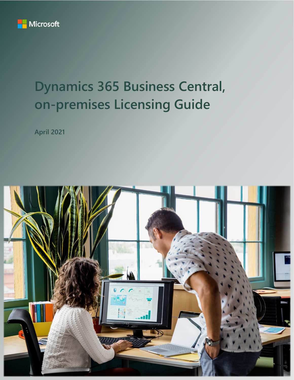

# **Dynamics 365 Business Central, on-premises Licensing Guide**

**April 2021**

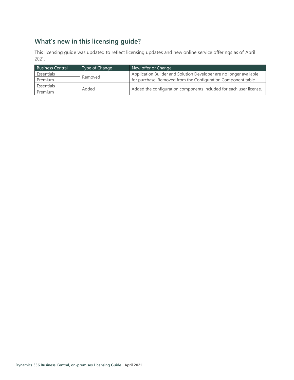# **What's new in this licensing guide?**

This licensing guide was updated to reflect licensing updates and new online service offerings as of April 2021.

| <b>Business Central</b> | Type of Change | New offer or Change                                                |
|-------------------------|----------------|--------------------------------------------------------------------|
| Essentials              |                | Application Builder and Solution Developer are no longer available |
| Premium                 | Removed        | for purchase. Removed from the Configuration Component table       |
| Essentials              |                |                                                                    |
| Premium                 | Added          | Added the configuration components included for each user license. |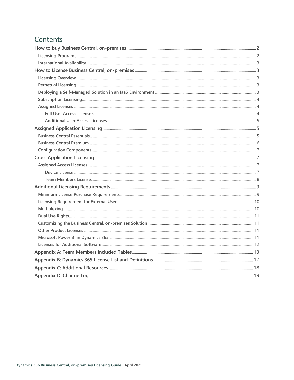# Contents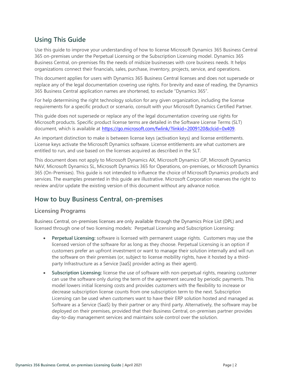# **Using This Guide**

Use this guide to improve your understanding of how to license Microsoft Dynamics 365 Business Central 365 on-premises under the Perpetual Licensing or the Subscription Licensing model. Dynamics 365 Business Central, on-premises fits the needs of midsize businesses with core business needs. It helps organizations connect their financials, sales, purchase, inventory, projects, service, and operations.

This document applies for users with Dynamics 365 Business Central licenses and does not supersede or replace any of the legal documentation covering use rights. For brevity and ease of reading, the Dynamics 365 Business Central application names are shortened, to exclude "Dynamics 365".

For help determining the right technology solution for any given organization, including the license requirements for a specific product or scenario, consult with your Microsoft Dynamics Certified Partner.

This guide does not supersede or replace any of the legal documentation covering use rights for Microsoft products. Specific product license terms are detailed in the Software License Terms (SLT) document, which is available at<https://go.microsoft.com/fwlink/?linkid=2009120&clcid=0x409>.

An important distinction to make is between license keys (activation keys) and license entitlements. License keys activate the Microsoft Dynamics software. License entitlements are what customers are entitled to run, and use based on the licenses acquired as described in the SLT.

This document does not apply to Microsoft Dynamics AX, Microsoft Dynamics GP, Microsoft Dynamics NAV, Microsoft Dynamics SL, Microsoft Dynamics 365 for Operations, on-premises, or Microsoft Dynamics 365 (On-Premises). This guide is not intended to influence the choice of Microsoft Dynamics products and services. The examples presented in this guide are illustrative. Microsoft Corporation reserves the right to review and/or update the existing version of this document without any advance notice.

# <span id="page-3-0"></span>**How to buy Business Central, on-premises**

### <span id="page-3-1"></span>**Licensing Programs**

Business Central, on-premises licenses are only available through the Dynamics Price List (DPL) and licensed through one of two licensing models: Perpetual Licensing and Subscription Licensing:

- **Perpetual Licensing:** software is licensed with permanent usage rights. Customers may use the licensed version of the software for as long as they choose. Perpetual Licensing is an option if customers prefer an upfront investment or want to manage their solution internally and will run the software on their premises (or, subject to license mobility rights, have it hosted by a thirdparty Infrastructure as a Service [IaaS] provider acting as their agent).
- **Subscription Licensing:** license the use of software with non-perpetual rights, meaning customer can use the software only during the term of the agreement secured by periodic payments. This model lowers initial licensing costs and provides customers with the flexibility to increase or decrease subscription license counts from one subscription term to the next. Subscription Licensing can be used when customers want to have their ERP solution hosted and managed as Software as a Service (SaaS) by their partner or any third party. Alternatively, the software may be deployed on their premises, provided that their Business Central, on-premises partner provides day-to-day management services and maintains sole control over the solution.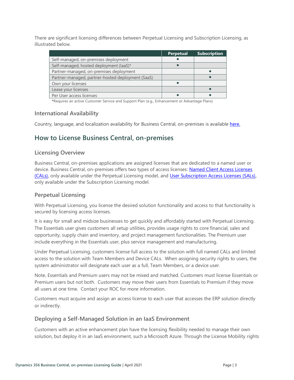There are significant licensing differences between Perpetual Licensing and Subscription Licensing, as illustrated below.

|                                                   | <b>Perpetual</b> | <b>Subscription</b> |
|---------------------------------------------------|------------------|---------------------|
| Self-managed, on-premises deployment              |                  |                     |
| Self-managed, hosted deployment (laaS)*           |                  |                     |
| Partner-managed, on-premises deployment           |                  |                     |
| Partner-managed, partner-hosted deployment (SaaS) |                  |                     |
| Own your licenses                                 |                  |                     |
| Lease your licenses                               |                  |                     |
| Per User access licenses                          |                  |                     |

**\***Requires an active Customer Service and Support Plan (e.g., Enhancement or Advantage Plans)

### <span id="page-4-0"></span>**International Availability**

<span id="page-4-1"></span>Country, language, and localization availability for Business Central, on-premises is available [here.](https://docs.microsoft.com/dynamics365/business-central/dev-itpro/compliance/apptest-countries-and-translations#planned-future-availability)

# **How to License Business Central, on-premises**

### <span id="page-4-2"></span>**Licensing Overview**

Business Central, on-premises applications are assigned licenses that are dedicated to a named user or device. Business Central, on-premises offers two types of access licenses: [Named Client Access Licenses](#page-18-1)  [\(CALs\)](#page-18-1)**,** only available under the Perpetual Licensing model, and [User Subscription Access Licenses \(SALs\)](#page-18-2)**,** only available under the Subscription Licensing model.

### <span id="page-4-3"></span>**Perpetual Licensing**

With Perpetual Licensing, you license the desired solution functionality and access to that functionality is secured by licensing access licenses.

It is easy for small and midsize businesses to get quickly and affordably started with Perpetual Licensing. The Essentials user gives customers all setup utilities, provides usage rights to core financial, sales and opportunity, supply chain and inventory, and project management functionalities. The Premium user include everything in the Essentials user, plus service management and manufacturing.

Under Perpetual Licensing, customers license full access to the solution with full named CALs and limited access to the solution with Team Members and Device CALs. When assigning security rights to users, the system administrator will designate each user as a full, Team Members, or a device user.

Note, Essentials and Premium users may not be mixed and matched. Customers must license Essentials or Premium users but not both. Customers may move their users from Essentials to Premium if they move all users at one time. Contact your ROC for more information.

Customers must acquire and assign an access license to each user that accesses the ERP solution directly or indirectly.

### <span id="page-4-4"></span>**Deploying a Self-Managed Solution in an IaaS Environment**

Customers with an active enhancement plan have the licensing flexibility needed to manage their own solution, but deploy it in an IaaS environment, such a Microsoft Azure. Through the License Mobility rights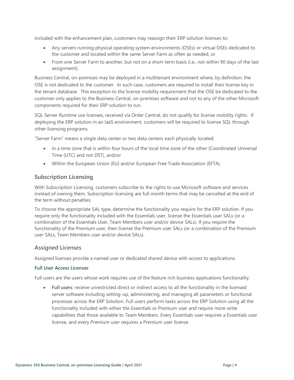included with the enhancement plan, customers may reassign their ERP solution licenses to:

- Any servers running physical operating system environments (OSEs) or virtual OSEs dedicated to the customer and located within the same Server Farm as often as needed, or
- From one Server Farm to another, but not on a short-term basis (i.e., not within 90 days of the last assignment).

Business Central, on-premises may be deployed in a multitenant environment where, by definition, the OSE is not dedicated to the customer. In such case, customers are required to install their license key in the tenant database. This exception to the license mobility requirement that the OSE be dedicated to the customer only applies to the Business Central, on-premises software and not to any of the other Microsoft components required for their ERP solution to run.

SQL Server Runtime use licenses, received via Order Central, do not qualify for license mobility rights. If deploying the ERP solution in an IaaS environment, customers will be required to license SQL through other licensing programs.

"Server Farm" means a single data center or two data centers each physically located:

- In a time zone that is within four hours of the local time zone of the other (Coordinated Universal Time (UTC) and not DST), and/or
- Within the European Union (EU) and/or European Free Trade Association (EFTA).

### <span id="page-5-0"></span>**Subscription Licensing**

With Subscription Licensing, customers subscribe to the rights to use Microsoft software and services instead of owning them. Subscription licensing are full month terms that may be cancelled at the end of the term without penalties.

To choose the appropriate SAL type, determine the functionality you require for the ERP solution. If you require only the functionality included with the Essentials user, license the Essentials user SALs (or a combination of the Essentials User, Team Members user and/or device SALs). If you require the functionality of the Premium user, then license the Premium user SALs (or a combination of the Premium user SALs, Team Members user and/or device SALs).

### <span id="page-5-1"></span>**Assigned Licenses**

Assigned licenses provide a named user or dedicated shared device with access to applications.

#### <span id="page-5-2"></span>**Full User Access Licenses**

Full users are the users whose work requires use of the feature rich business applications functionality.

• **Full users**: receive unrestricted direct or indirect access to all the functionality in the licensed server software including setting-up, administering, and managing all parameters or functional processes across the ERP Solution. Full users perform tasks across the ERP Solution using all the functionality included with either the Essentials or Premium user and require more write capabilities that those available to Team Members. Every Essentials user requires a Essentials user license, and every Premium user requires a Premium user license.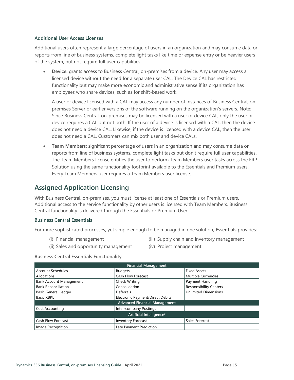#### <span id="page-6-0"></span>**Additional User Access Licenses**

Additional users often represent a large percentage of users in an organization and may consume data or reports from line of business systems, complete light tasks like time or expense entry or be heavier users of the system, but not require full user capabilities.

• **Device:** grants access to Business Central, on-premises from a device. Any user may access a licensed device without the need for a separate user CAL. The Device CAL has restricted functionality but may make more economic and administrative sense if its organization has employees who share devices, such as for shift-based work.

A user or device licensed with a CAL may access any number of instances of Business Central, onpremises Server or earlier versions of the software running on the organization's servers. Note: Since Business Central, on-premises may be licensed with a user or device CAL, only the user or device requires a CAL but not both. If the user of a device is licensed with a CAL, then the device does not need a device CAL. Likewise, if the device is licensed with a device CAL, then the user does not need a CAL. Customers can mix both user and device CALs.

• **Team Members:** significant percentage of users in an organization and may consume data or reports from line of business systems, complete light tasks but don't require full user capabilities. The Team Members license entitles the user to perform Team Members user tasks across the ERP Solution using the same functionality footprint available to the Essentials and Premium users. Every Team Members user requires a Team Members user license.

# <span id="page-6-1"></span>**Assigned Application Licensing**

With Business Central, on-premises, you must license at least one of Essentials or Premium users. Additional access to the service functionality by other users is licensed with Team Members. Business Central functionality is delivered through the Essentials or Premium User.

#### <span id="page-6-2"></span>**Business Central Essentials**

For more sophisticated processes, yet simple enough to be managed in one solution, **Essentials** provides:

(i) Financial management

- (iii) Supply chain and inventory management
- (ii) Sales and opportunity management
- (iv) Project management

#### **Business Central Essentials Functionality**

| <b>Financial Management</b>          |                                               |                               |
|--------------------------------------|-----------------------------------------------|-------------------------------|
| <b>Account Schedules</b>             | <b>Budgets</b>                                | <b>Fixed Assets</b>           |
| Allocations                          | <b>Cash Flow Forecast</b>                     | Multiple Currencies           |
| <b>Bank Account Management</b>       | Check Writing                                 | Payment Handling              |
| <b>Bank Reconciliation</b>           | Consolidation                                 | <b>Responsibility Centers</b> |
| <b>Basic General Ledger</b>          | Deferrals                                     | <b>Unlimited Dimensions</b>   |
| <b>Basic XBRL</b>                    | Electronic Payment/Direct Debits <sup>1</sup> |                               |
| <b>Advanced Financial Management</b> |                                               |                               |
| <b>Cost Accounting</b>               | Inter-company Postings                        |                               |
| Artificial Intelligence <sup>2</sup> |                                               |                               |
| Cash Flow Forecast                   | <b>Inventory Forecast</b>                     | Sales Forecast                |
| Image Recognition                    | Late Payment Prediction                       |                               |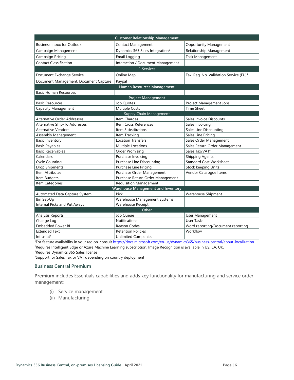| <b>Customer Relationship Management</b>   |                                             |                                                    |  |
|-------------------------------------------|---------------------------------------------|----------------------------------------------------|--|
| <b>Business Inbox for Outlook</b>         | <b>Contact Management</b>                   | <b>Opportunity Management</b>                      |  |
| Campaign Management                       | Dynamics 365 Sales Integration <sup>3</sup> | Relationship Management                            |  |
| Campaign Pricing                          | Email Logging                               | Task Management                                    |  |
| <b>Contact Classification</b>             | Interaction / Document Management           |                                                    |  |
|                                           | <b>E-Services</b>                           |                                                    |  |
| Document Exchange Service                 | Online Map                                  | Tax. Reg. No. Validation Service (EU) <sup>1</sup> |  |
| Document Management, Document Capture     | Paypal                                      |                                                    |  |
|                                           | Human Resources Management                  |                                                    |  |
| <b>Basic Human Resources</b>              |                                             |                                                    |  |
|                                           | <b>Project Management</b>                   |                                                    |  |
| <b>Basic Resources</b>                    | Job Quotes                                  | Project Management Jobs                            |  |
| Capacity Management                       | <b>Multiple Costs</b>                       | <b>Time Sheet</b>                                  |  |
|                                           | Supply Chain Management                     |                                                    |  |
| Alternative Order Addresses               | Item Charges                                | Sales Invoice Discounts                            |  |
| Alternative Ship-To Addresses             | Item Cross References                       | Sales Invoicing                                    |  |
| <b>Alternative Vendors</b>                | Item Substitutions                          | Sales Line Discounting                             |  |
| Assembly Management                       | Item Tracking                               | Sales Line Pricing                                 |  |
| <b>Basic Inventory</b>                    | <b>Location Transfers</b>                   | Sales Order Management                             |  |
| <b>Basic Payables</b>                     | Multiple Locations                          | Sales Return Order Management                      |  |
| <b>Basic Receivables</b>                  | Order Promising                             | Sales Tax/VAT <sup>4</sup>                         |  |
| Calendars                                 | Purchase Invoicing                          | <b>Shipping Agents</b>                             |  |
| <b>Cycle Counting</b>                     | Purchase Line Discounting                   | <b>Standard Cost Worksheet</b>                     |  |
| <b>Drop Shipments</b>                     | Purchase Line Pricing                       | Stock keeping Units                                |  |
| Item Attributes                           | Purchase Order Management                   | Vendor Catalogue Items                             |  |
| Item Budgets                              | Purchase Return Order Management            |                                                    |  |
| Item Categories                           | <b>Requisition Management</b>               |                                                    |  |
| <b>Warehouse Management and Inventory</b> |                                             |                                                    |  |
| Automated Data Capture System             | Pick                                        | Warehouse Shipment                                 |  |
| Bin Set-Up                                | Warehouse Management Systems                |                                                    |  |
| Internal Picks and Put Aways              | <b>Warehouse Receipt</b>                    |                                                    |  |
| Other                                     |                                             |                                                    |  |
| Analysis Reports                          | Job Queue                                   | User Management                                    |  |
| Change Log                                | <b>Notifications</b>                        | User Tasks                                         |  |
| <b>Embedded Power BI</b>                  | Reason Codes                                | Word reporting/Document reporting                  |  |
| <b>Extended Text</b>                      | <b>Retention Policies</b>                   | Workflow                                           |  |
| Intrastat <sup>1</sup>                    | <b>Unlimited Companies</b>                  |                                                    |  |

1For feature availability in your region, consult [https://docs.microsoft.com/en-us/dynamics365/business-central/about-localization](https://nam06.safelinks.protection.outlook.com/?url=https%3A%2F%2Fdocs.microsoft.com%2Fen-us%2Fdynamics365%2Fbusiness-central%2Fabout-localization&data=02%7C01%7Cv-decaro%40microsoft.com%7Cd2aa8d6cb0e34d67535808d78553b2bd%7C72f988bf86f141af91ab2d7cd011db47%7C1%7C0%7C637124466836550525&sdata=Tm0JOsRi7vEuRnTf7u89WTXntgayOX7Iagr7mtzBHnA%3D&reserved=0)

<sup>2</sup>Requires Intelligent Edge or Azure Machine Learning subscription. Image Recognition is available in US, CA, UK. <sup>3</sup>Requires Dynamics 365 Sales license

<sup>4</sup>Support for Sales Tax or VAT depending on country deployment

#### <span id="page-7-0"></span>**Business Central Premium**

**Premium** includes Essentials capabilities and adds key functionality for manufacturing and service order management:

- (i) Service management
- (ii) Manufacturing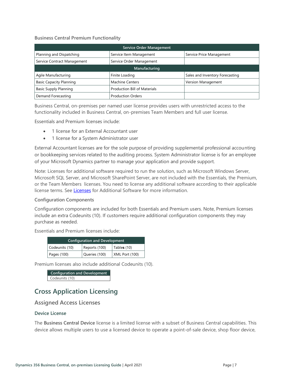#### **Business Central Premium Functionality**

| <b>Service Order Management</b> |                              |                                 |
|---------------------------------|------------------------------|---------------------------------|
| Planning and Dispatching        | Service Item Management      | Service Price Management        |
| Service Contract Management     | Service Order Management     |                                 |
| Manufacturing                   |                              |                                 |
| Agile Manufacturing             | Finite Loading               | Sales and Inventory Forecasting |
| <b>Basic Capacity Planning</b>  | <b>Machine Centers</b>       | Version Management              |
| <b>Basic Supply Planning</b>    | Production Bill of Materials |                                 |
| Demand Forecasting              | <b>Production Orders</b>     |                                 |

Business Central, on-premises per named user license provides users with unrestricted access to the functionality included in Business Central, on-premises Team Members and full user license.

Essentials and Premium licenses include:

- 1 license for an External Accountant user
- 1 license for a System Administrator user

External Accountant licenses are for the sole purpose of providing supplemental professional accounting or bookkeeping services related to the auditing process. System Administrator license is for an employee of your Microsoft Dynamics partner to manage your application and provide support.

Note: Licenses for additional software required to run the solution, such as Microsoft Windows Server, Microsoft SQL Server, and Microsoft SharePoint Server, are not included with the Essentials, the Premium, or the Team Members licenses. You need to license any additional software according to their applicable license terms. See [Licenses](https://www.microsoft.com/en-us/Licensing/how-to-buy/how-to-buy.aspx) for Additional Software for more information.

#### <span id="page-8-0"></span>**Configuration Components**

Configuration components are included for both Essentials and Premium users. Note, Premium licenses include an extra Codeunits (10). If customers require additional configuration components they may purchase as needed.

Essentials and Premium licenses include:

| <b>Configuration and Development</b> |               |                |
|--------------------------------------|---------------|----------------|
| Codeunits (10)                       | Reports (100) | Tables (10)    |
| Pages (100)                          | Queries (100) | XML Port (100) |

Premium licenses also include additional Codeunits (10).

| Configuration and Development |
|-------------------------------|
| Codeunits (10)                |

# <span id="page-8-1"></span>**Cross Application Licensing**

### <span id="page-8-2"></span>**Assigned Access Licenses**

#### <span id="page-8-3"></span>**Device License**

The **Business Central Device** license is a limited license with a subset of Business Central capabilities. This device allows multiple users to use a licensed device to operate a point-of-sale device, shop floor device,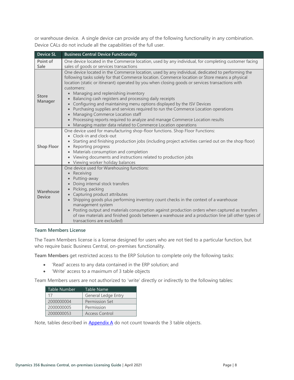or warehouse device. A single device can provide any of the following functionality in any combination. Device CALs do not include all the capabilities of the full user.

| <b>Device SL</b>        | <b>Business Central Device Functionality</b>                                                                                                                                                                                                                                                                                                                                                                                                                                                                                                                                                                                                                                                                                                                                               |
|-------------------------|--------------------------------------------------------------------------------------------------------------------------------------------------------------------------------------------------------------------------------------------------------------------------------------------------------------------------------------------------------------------------------------------------------------------------------------------------------------------------------------------------------------------------------------------------------------------------------------------------------------------------------------------------------------------------------------------------------------------------------------------------------------------------------------------|
| Point of<br>Sale        | One device located in the Commerce location, used by any individual, for completing customer facing<br>sales of goods or services transactions                                                                                                                                                                                                                                                                                                                                                                                                                                                                                                                                                                                                                                             |
| <b>Store</b><br>Manager | One device located in the Commerce location, used by any individual, dedicated to performing the<br>following tasks solely for that Commerce location. Commerce location or Store means a physical<br>location (static or itinerant) operated by you when closing goods or services transactions with<br>customers:<br>Managing and replenishing inventory<br>Balancing cash registers and processing daily receipts<br>Configuring and maintaining menu options displayed by the ISV Devices<br>$\bullet$<br>• Purchasing supplies and services required to run the Commerce Location operations<br>• Managing Commerce Location staff<br>• Processing reports required to analyze and manage Commerce Location results<br>• Managing master data related to Commerce Location operations |
| <b>Shop Floor</b>       | One device used for manufacturing shop-floor functions. Shop Floor Functions:<br>• Clock-in and clock-out<br>• Starting and finishing production jobs (including project activities carried out on the shop floor)<br>• Reporting progress<br>• Materials consumption and completion<br>• Viewing documents and instructions related to production jobs<br>• Viewing worker holiday balances                                                                                                                                                                                                                                                                                                                                                                                               |
| Warehouse<br>Device     | One device used for Warehousing functions:<br>• Receiving<br>Putting-away<br>Doing internal stock transfers<br>Picking, packing<br>• Capturing product attributes<br>• Shipping goods plus performing inventory count checks in the context of a warehouse<br>management system<br>• Posting output and materials consumption against production orders when captured as transfers<br>of raw materials and finished goods between a warehouse and a production line (all other types of<br>transactions are excluded)                                                                                                                                                                                                                                                                      |

#### <span id="page-9-0"></span>**Team Members License**

The Team Members license is a license designed for users who are not tied to a particular function, but who require basic Business Central, on-premises functionality.

**Team Members** get restricted access to the ERP Solution to complete only the following tasks:

- 'Read' access to any data contained in the ERP solution; and
- 'Write' access to a maximum of 3 table objects

Team Members users are not authorized to 'write' directly or indirectly to the following tables:

| Table Number | Table Name            |
|--------------|-----------------------|
| 17           | General Ledge Entry   |
| 2000000004   | <b>Permission Set</b> |
| 2000000005   | Permission            |
| 2000000053   | <b>Access Control</b> |

Note, tables described in **Appendix A** do not count towards the 3 table objects.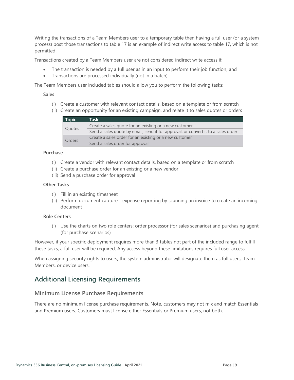Writing the transactions of a Team Members user to a temporary table then having a full user (or a system process) post those transactions to table 17 is an example of indirect write access to table 17, which is not permitted.

Transactions created by a Team Members user are not considered indirect write access if:

- The transaction is needed by a full user as in an input to perform their job function, and
- Transactions are processed individually (not in a batch).

The Team Members user included tables should allow you to perform the following tasks:

#### **Sales**

- (i) Create a customer with relevant contact details, based on a template or from scratch
- (ii) Create an opportunity for an existing campaign, and relate it to sales quotes or orders

| <b>Topic</b>                                           | <b>Task</b>                                                                       |
|--------------------------------------------------------|-----------------------------------------------------------------------------------|
| Create a sales quote for an existing or a new customer |                                                                                   |
| Quotes                                                 | Send a sales quote by email, send it for approval, or convert it to a sales order |
| Create a sales order for an existing or a new customer |                                                                                   |
| <b>Orders</b>                                          | Send a sales order for approval                                                   |

#### **Purchase**

- (i) Create a vendor with relevant contact details, based on a template or from scratch
- (ii) Create a purchase order for an existing or a new vendor
- (iii) Send a purchase order for approval

#### **Other Tasks**

- (i) Fill in an existing timesheet
- (ii) Perform document capture expense reporting by scanning an invoice to create an incoming document

#### **Role Centers**

(i) Use the charts on two role centers: order processor (for sales scenarios) and purchasing agent (for purchase scenarios)

However, if your specific deployment requires more than 3 tables not part of the included range to fulfill these tasks, a full user will be required. Any access beyond these limitations requires full user access.

When assigning security rights to users, the system administrator will designate them as full users, Team Members, or device users.

# <span id="page-10-0"></span>**Additional Licensing Requirements**

#### <span id="page-10-1"></span>**Minimum License Purchase Requirements**

There are no minimum license purchase requirements. Note, customers may not mix and match Essentials and Premium users. Customers must license either Essentials or Premium users, not both.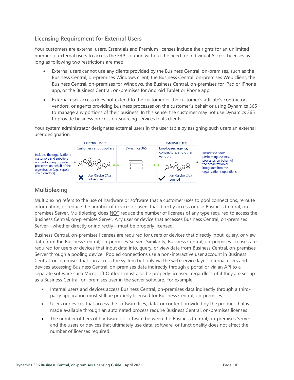### <span id="page-11-0"></span>**Licensing Requirement for External Users**

Your customers are external users. Essentials and Premium licenses include the rights for an unlimited number of external users to access the ERP solution without the need for individual Access Licenses as long as following two restrictions are met:

- External users cannot use any clients provided by the Business Central, on-premises, such as the Business Central, on-premises Windows client, the Business Central, on-premises Web client, the Business Central, on-premises for Windows, the Business Central, on-premises for iPad or iPhone app, or the Business Central, on-premises for Android Tablet or Phone app.
- External user access does not extend to the customer or the customer's affiliate's contractors, vendors, or agents providing business processes on the customer's behalf or using Dynamics 365 to manage any portions of their business. In this sense, the customer may not use Dynamics 365 to provide business process outsourcing services to its clients.

Your system administrator designates external users in the user table by assigning such users an external user designation.



### <span id="page-11-1"></span>**Multiplexing**

Multiplexing refers to the use of hardware or software that a customer uses to pool connections, reroute information, or reduce the number of devices or users that directly access or use Business Central, onpremises Server. Multiplexing does NOT reduce the number of licenses of any type required to access the Business Central, on-premises Server. Any user or device that accesses Business Central, on-premises Server—whether directly or indirectly—must be properly licensed.

Business Central, on-premises licenses are required for users or devices that directly input, query, or view data from the Business Central, on-premises Server. Similarity, Business Central, on-premises licenses are required for users or devices that input data into, query, or view data from Business Central, on-premises Server through a pooling device. Pooled connections use a non-interactive user account in Business Central, on-premises that can access the system but only via the web service layer. Internal users and devices accessing Business Central, on-premises data indirectly through a portal or via an API to a separate software such Microsoft Outlook must also be properly licensed, regardless of if they are set up as a Business Central, on-premises user in the server software. For example:

- Internal users and devices access Business Central, on-premises data indirectly through a thirdparty application must still be properly licensed for Business Central, on-premises
- Users or devices that access the software files, data, or content provided by the product that is made available through an automated process require Business Central, on-premises licenses
- The number of tiers of hardware or software between the Business Central, on-premises Server and the users or devices that ultimately use data, software, or functionality does not affect the number of licenses required.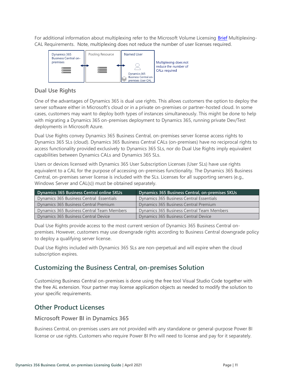For additional information about multiplexing refer to the Microsoft Volume Licensing [Brief](https://www.microsoft.com/en-us/Licensing/learn-more/volume-licensing-briefs.aspx) Multiplexing-CAL Requirements. Note, multiplexing does not reduce the number of user licenses required.



### <span id="page-12-0"></span>**Dual Use Rights**

One of the advantages of Dynamics 365 is dual use rights. This allows customers the option to deploy the server software either in Microsoft's cloud or in a private on-premises or partner-hosted cloud. In some cases, customers may want to deploy both types of instances simultaneously. This might be done to help with migrating a Dynamics 365 on-premises deployment to Dynamics 365, running private Dev/Test deployments in Microsoft Azure.

Dual Use Rights convey Dynamics 365 Business Central, on-premises server license access rights to Dynamics 365 SLs (cloud). Dynamics 365 Business Central CALs (on-premises) have no reciprocal rights to access functionality provided exclusively to Dynamics 365 SLs, nor do Dual Use Rights imply equivalent capabilities between Dynamics CALs and Dynamics 365 SLs.

Users or devices licensed with Dynamics 365 User Subscription Licenses (User SLs) have use rights equivalent to a CAL for the purpose of accessing on-premises functionality. The Dynamics 365 Business Central, on-premises server license is included with the SLs. Licenses for all supporting servers (e.g., Windows Server and CAL(s)) must be obtained separately.

| Dynamics 365 Business Central online SKUs  | Dynamics 365 Business Central, on-premises SKUs |
|--------------------------------------------|-------------------------------------------------|
| Dynamics 365 Business Central Essentials   | Dynamics 365 Business Central Essentials        |
| Dynamics 365 Business Central Premium      | Dynamics 365 Business Central Premium           |
| Dynamics 365 Business Central Team Members | Dynamics 365 Business Central Team Members      |
| Dynamics 365 Business Central Device       | Dynamics 365 Business Central Device            |

Dual Use Rights provide access to the most current version of Dynamics 365 Business Central onpremises. However, customers may use downgrade rights according to Business Central downgrade policy to deploy a qualifying server license.

Dual Use Rights included with Dynamics 365 SLs are non-perpetual and will expire when the cloud subscription expires.

# <span id="page-12-1"></span>**Customizing the Business Central, on-premises Solution**

Customizing Business Central on-premises is done using the free tool Visual Studio Code together with the free AL extension. Your partner may license application objects as needed to modify the solution to your specific requirements.

# <span id="page-12-2"></span>**Other Product Licenses**

### <span id="page-12-3"></span>**Microsoft Power BI in Dynamics 365**

Business Central, on-premises users are not provided with any standalone or general-purpose Power BI license or use rights. Customers who require Power BI Pro will need to license and pay for it separately.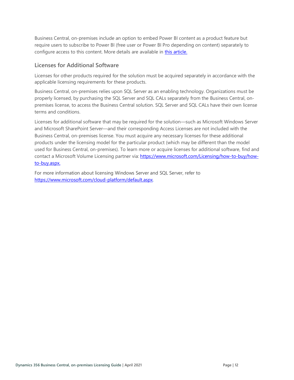Business Central, on-premises include an option to embed Power BI content as a product feature but require users to subscribe to Power BI (free user or Power BI Pro depending on content) separately to configure access to this content. More details are available in [this article.](https://technet.microsoft.com/en-us/library/dn708055.aspx)

### <span id="page-13-0"></span>**Licenses for Additional Software**

Licenses for other products required for the solution must be acquired separately in accordance with the applicable licensing requirements for these products.

Business Central, on-premises relies upon SQL Server as an enabling technology. Organizations must be properly licensed, by purchasing the SQL Server and SQL CALs separately from the Business Central, onpremises license, to access the Business Central solution. SQL Server and SQL CALs have their own license terms and conditions.

Licenses for additional software that may be required for the solution—such as Microsoft Windows Server and Microsoft SharePoint Server—and their corresponding Access Licenses are not included with the Business Central, on-premises license. You must acquire any necessary licenses for these additional products under the licensing model for the particular product (which may be different than the model used for Business Central, on-premises). To learn more or acquire licenses for additional software, find and contact a Microsoft Volume Licensing partner via: [https://www.microsoft.com/Licensing/how-to-buy/how](https://www.microsoft.com/Licensing/how-to-buy/how-to-buy.aspx)[to-buy.aspx.](https://www.microsoft.com/Licensing/how-to-buy/how-to-buy.aspx) 

For more information about licensing Windows Server and SQL Server, refer to [https://www.microsoft.com/cloud-platform/default.aspx.](https://www.microsoft.com/cloud-platform/default.aspx)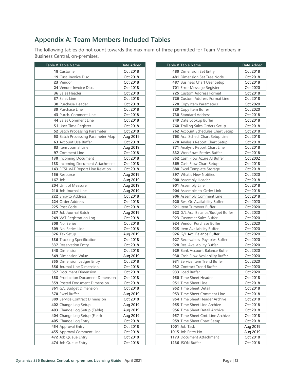# <span id="page-14-0"></span>**Appendix A: Team Members Included Tables**

The following tables do not count towards the maximum of three permitted for Team Members in Business Central, on-premises.

|           | Table # Table Name                    | Date Added |  |
|-----------|---------------------------------------|------------|--|
|           | 18 Customer                           | Oct 2018   |  |
|           | 19 Cust. Invoice Disc.                | Oct 2018   |  |
|           | 23 Vendor                             | Oct 2018   |  |
|           | 24 Vendor Invoice Disc.               | Oct 2018   |  |
|           | <b>36</b> Sales Header                | Oct 2018   |  |
|           | 37 Sales Line                         | Oct 2018   |  |
|           | 38 Purchase Header                    | Oct 2018   |  |
|           | <b>39 Purchase Line</b>               | Oct 2018   |  |
|           | 43 Purch. Comment Line                | Oct 2018   |  |
|           | 44 Sales Comment Line                 | Oct 2018   |  |
|           | 51 User Time Register                 | Oct 2018   |  |
|           | 52 Batch Processing Parameter         | Oct 2018   |  |
|           | 53 Batch Processing Parameter Map     | Aug 2019   |  |
|           | 63 Account Use Buffer                 | Oct 2018   |  |
|           | 83 Item Journal Line                  | Aug 2019   |  |
|           | 97 Comment Line                       | Oct 2018   |  |
|           | 130 Incoming Document                 | Oct 2018   |  |
|           | 133 Incoming Document Attachment      | Oct 2018   |  |
|           | 143 ECSL VAT Report Line Relation     | Oct 2018   |  |
|           | 156 Resource                          | Aug 2019   |  |
| $167$ Job |                                       | Aug 2019   |  |
|           | <b>204 Unit of Measure</b>            | Aug 2019   |  |
|           | 210 Job Journal Line                  | Aug 2019   |  |
|           | 222 Ship-to Address                   | Oct 2018   |  |
|           | 224 Order Address                     | Oct 2018   |  |
|           | 225 Post Code                         | Oct 2018   |  |
|           | 237 Job Journal Batch                 | Aug 2019   |  |
|           | 249 VAT Registration Log              | Oct 2018   |  |
|           | 308 No. Series                        | Oct 2018   |  |
|           | <b>309</b> No. Series Line            | Oct 2018   |  |
|           | 326 Tax Setup                         | Aug 2019   |  |
|           | 336 Tracking Specification            | Oct 2018   |  |
|           | 337 Reservation Entry                 | Oct 2018   |  |
|           | 348 Dimension                         | Oct 2018   |  |
|           | <b>349 Dimension Value</b>            | Aug 2019   |  |
|           | 355 Dimension Ledger Entry            | Oct 2018   |  |
|           | <b>356</b> Journal Line Dimension     | Oct 2018   |  |
|           | <b>357</b> Document Dimension         | Oct 2018   |  |
|           | 358 Production Document Dimension     | Oct 2018   |  |
|           | <b>359</b> Posted Document Dimension  | Oct 2018   |  |
|           | 361 G/L Budget Dimension              | Oct 2018   |  |
|           | 370 Excel Buffer                      | Aug 2019   |  |
|           | <b>389</b> Service Contract Dimension | Oct 2018   |  |
|           | 402 Change Log Setup                  | Aug 2019   |  |
|           | 403 Change Log Setup (Table)          | Aug 2019   |  |
|           | 404 Change Log Setup (Field)          | Aug 2019   |  |
|           | 405 Change Log Entry                  | Oct 2018   |  |
|           | 454 Approval Entry                    | Oct 2018   |  |
|           | 455 Approval Comment Line             | Oct 2018   |  |
|           | 472 Job Queue Entry                   | Oct 2018   |  |
|           | 474 Job Queue Entry                   | Oct 2018   |  |

| Table # Table Name                 |                        |  |
|------------------------------------|------------------------|--|
| 480 Dimension Set Entry            | Date Added<br>Oct 2018 |  |
| 481 Dimension Set Tree Node        | Oct 2018               |  |
| 487 Business Chart User Setup      | Oct 2018               |  |
| 701 Error Message Register         | Oct 2020               |  |
| 725 Custom Address Format          | Oct 2018               |  |
| 726 Custom Address Format Line     | Oct 2018               |  |
| 728 Copy Item Parameters           | Oct 2020               |  |
| 729 Copy Item Buffer               | Oct 2020               |  |
| 730 Standard Address               | Oct 2018               |  |
| 749 Date Lookup Buffer             | Oct 2018               |  |
| 760 Trailing Sales Orders Setup    | Oct 2018               |  |
| 762 Account Schedules Chart Setup  | Oct 2018               |  |
| 763 Acc. Sched. Chart Setup Line   | Oct 2018               |  |
| 770 Analysis Report Chart Setup    | Oct 2018               |  |
| 771 Analysis Report Chart Line     | Oct 2018               |  |
| 832 Workflows Entries Buffer       | Oct 2018               |  |
| 852 Cash Flow Azure AI Buffer      | Oct 2002               |  |
| 869 Cash Flow Chart Setup          | Oct 2018               |  |
| 880 Excel Template Storage         | Oct 2018               |  |
| 897 What's New Notified            | Oct 2020               |  |
| 900 Assembly Header                | Oct 2018               |  |
| 901 Assembly Line                  | Oct 2018               |  |
| 904 Assemble-to-Order Link         | Oct 2018               |  |
| 906 Assembly Comment Line          | Oct 2018               |  |
| 920 Res. Gr. Availability Buffer   | Oct 2020               |  |
| 921 Item Turnover Buffer           | Oct 2020               |  |
| 922 G/L Acc. Balance/Budget Buffer | Oct 2020               |  |
| 923 Customer Sales Buffer          | Oct 2020               |  |
| 924 Vendor Purchase Buffer         | Oct 2020               |  |
| 925 Item Availability Buffer       | Oct 2020               |  |
| 926 G/L Acc. Balance Buffer        | Oct 2020               |  |
| 927 Receivables-Payables Buffer    | Oct 2020               |  |
| 928 Res. Availability Buffer       | Oct 2020               |  |
| 929 Bank Account Balance Buffer    | Oct 2020               |  |
| 930 Cash Flow Availability Buffer  | Oct 2020               |  |
| 931 Service Item Trend Buffer      | Oct 2020               |  |
| 932 Contract Trend Buffer          | Oct 2020               |  |
| 933 Load Buffer                    | Oct 2020               |  |
| 950 Time Sheet Header              | Oct 2018               |  |
| 951 Time Sheet Line                | Oct 2018               |  |
| 952 Time Sheet Detail              | Oct 2018               |  |
| 953 Time Sheet Comment Line        | Oct 2018               |  |
| 954 Time Sheet Header Archive      | Oct 2018               |  |
| 955 Time Sheet Line Archive        | Oct 2018               |  |
| 956 Time Sheet Detail Archive      | Oct 2018               |  |
| 957 Time Sheet Cmt. Line Archive   | Oct 2018               |  |
| 959 Time Sheet Chart Setup         | Oct 2018               |  |
| 1001 Job Task                      | Aug 2019               |  |
| 1015 Job Entry No.                 | Aug 2019               |  |
| 1173 Document Attachment           | Oct 2018               |  |
| 1236 JSON Buffer                   | Oct 2018               |  |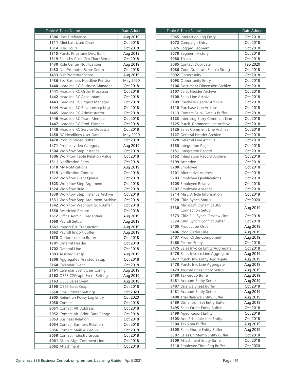| Table # Table Name                                       | Date Added           |  |
|----------------------------------------------------------|----------------------|--|
| 1306 User Preference                                     | Aug 2019             |  |
| 1311 Mini Last Used Chart                                | Oct 2018             |  |
| 1314 User Tours                                          | Oct 2018             |  |
| 1315 Purch. Price Line Disc. Buff.                       | Aug 2019             |  |
| 1319 Sales by Cust. Grp.Chart Setup                      | Oct 2018             |  |
| 1430 Role Center Notifications                           | Aug 2019             |  |
| 1432 Net Promoter Score Setup                            | Oct 2018             |  |
| 1433 Net Promoter Score                                  | Aug 2019             |  |
| 1436 Ess. Business Headline Per Usr                      | May 2020             |  |
| 1440 Headline RC Business Manager                        | Oct 2018             |  |
| 1441 Headline RC Order Processor                         | Oct 2018             |  |
| 1442 Headline RC Accountant                              | Oct 2018             |  |
| 1443 Headline RC Project Manager                         | Oct 2018             |  |
| 1444 Headline RC Relationship Mgt                        | Oct 2018             |  |
| 1445 Headline RC Administrator                           | Oct 2018             |  |
| 1446 Headline RC Team Member                             | Oct 2018             |  |
|                                                          |                      |  |
| 1447 Headline RC Prod. Planner                           | Oct 2018             |  |
| 1448 Headline RC Service Dispatch                        | Oct 2018             |  |
| 1458 RC Headlines User Data                              | May 2020             |  |
| 1470 Product Video Buffer                                | Oct 2018             |  |
| 1471 Product video Category                              | Aug 2019             |  |
| 1504 Workflow Step Instance                              | Oct 2018             |  |
| 1506 Workflow Table Relation Value                       | Oct 2018             |  |
| 1511 Notification Entry                                  | Oct 2018             |  |
| 1518 My Notifications                                    | Aug 2019             |  |
| 1519 Notification Context                                | Oct 2018             |  |
| 1522 Workflow Event Queue                                | Oct 2018             |  |
| 1523 Workflow Step Argument                              | Oct 2018             |  |
| 1524 Workflow Rule                                       | Oct 2018             |  |
| 1530 Workflow Step Instance Archive                      | Oct 2018             |  |
| 1531 Workflow Step Argument Archive                      | Oct 2018<br>Oct 2018 |  |
| 1542 Workflow Webhook Sub Buffer                         |                      |  |
| 1550 Restricted Record<br>1612 Office Admin. Credentials | Oct 2018<br>Aug 2019 |  |
| 1660 Payroll Setup                                       | Aug 2019             |  |
| 1661 Import G/L Transaction                              |                      |  |
| 1662 Payroll Import Buffer                               | Aug 2019             |  |
|                                                          | Aug 2019             |  |
| 1670 Option Lookup Buffer<br><b>1701</b> Deferral Header | Oct 2018<br>Oct 2018 |  |
|                                                          |                      |  |
| 1702 Deferral Line                                       | Oct 2018             |  |
| 1803 Assisted Setup                                      | Aug 2019<br>Oct 2018 |  |
| 1808 Aggregated Assisted Setup<br>2160 Calendar Event    |                      |  |
| 2161 Calendar Event User Config.                         | Oct 2018             |  |
| 2162 0365 C2Graph Event Settings                         | Aug 2019<br>Aug 2019 |  |
| 2163 0365 Sales Event                                    | Aug 2019             |  |
| 2190 0365 Sales Graph                                    | Oct 2018             |  |
| 2650 Email Printer Settings                              | Oct 2020             |  |
| 3905 Retention Policy Log Entry                          | Oct 2020             |  |
| 5050 Contact                                             | Oct 2018             |  |
| 5051 Contact Alt. Address                                |                      |  |
| 5052 Contact Alt. Addr. Date Range                       | Oct 2018             |  |
| <b>5053</b> Business Relation                            | Oct 2018<br>Oct 2018 |  |
| <b>5054</b> Contact Business Relation                    | Oct 2018             |  |
| 5056 Contact Mailing Group                               | Oct 2018             |  |
| 5058 Contact Industry Group                              | Oct 2018             |  |
| 5061 Rishp. Mgt. Comment Line                            | Oct 2018             |  |
| 5062 Attachment                                          | Oct 2018             |  |
|                                                          |                      |  |

|      | Table # Table Name<br>Date Added       |          |
|------|----------------------------------------|----------|
|      | 5065 Interaction Log Entry             | Oct 2018 |
|      | 5072 Campaign Entry                    | Oct 2018 |
|      | 5075 Logged Segment                    | Oct 2018 |
|      | 5078 Segment History                   | Oct 2018 |
|      | 5080 To-do                             | Oct 2018 |
|      | 5085 Contact Duplicate                 | Feb 2020 |
|      | 5086 Cont. Duplicate Search String     | Oct 2018 |
|      | 5092 Opportunity                       | Oct 2018 |
|      | 5093 Opportunity Entry                 | Oct 2018 |
|      | <b>5106</b> Document Dimension Archive | Oct 2018 |
|      | 5107 Sales Header Archive              | Oct 2018 |
|      | 5108 Sales Line Archive                | Oct 2018 |
|      | 5109 Purchase Header Archive           | Oct 2018 |
|      | 5110 Purchase Line Archive             | Oct 2018 |
|      | 5113 Contact Dupl. Details Buffer      | Oct 2018 |
|      | 5123 Inter. Log Entry Comment Line     | Oct 2018 |
|      | 5125 Purch. Comment Line Archive       | Oct 2018 |
|      | 5126 Sales Comment Line Archive        | Oct 2018 |
|      | <b>5127</b> Deferral Header Archive    | Oct 2018 |
|      | 5128 Deferral Line Archive             | Oct 2018 |
|      | 5150 Integration Page                  | Oct 2018 |
|      | 5151 Integration Record                | Oct 2018 |
|      | 5152 Integration Record Archive        | Oct 2018 |
|      | 5199 Attendee                          | Oct 2018 |
|      | 5200 Employee                          | Oct 2018 |
|      | <b>5201</b> Alternative Address        | Oct 2018 |
|      | <b>5203</b> Employee Qualifications    | Oct 2018 |
|      | 5205 Employee Relative                 | Oct 2018 |
|      | 5207 Employee Absence                  | Oct 2018 |
|      | 5214 Misc. Article Information         | Oct 2018 |
|      | 5328 CRM Synch Status                  | Oct 2020 |
|      | Microsoft Dynamics 365                 |          |
| 5330 | Connection Setup                       | Aug 2019 |
|      | 5373 CRM Full Synch. Review Line       | Oct 2018 |
|      | 5374 CRM Synch Conflict Buffer         | Oct 2018 |
|      | 5405 Production Order                  | Aug 2019 |
|      | 5406 Prod. Order Line                  | Aug 2019 |
|      | 5407 Prod. Order Component             | Aug 2019 |
|      | 5468 Picture Entity                    | Oct 2018 |
|      | 5475 Sales Invoice Entity Aggregate    | Oct 2018 |
|      | 5476 Sales Invoice Line Aggregate      | Aug 2019 |
|      | 5477 Purch. Inv. Entity Aggregate      | Aug 2019 |
|      | 5478 Purch. Inv. Line Aggregate        | Aug 2019 |
|      | 5479 Journal Lines Entity Setup        | Aug 2019 |
|      | 5480 Tax Group Buffer                  | Aug 2019 |
|      | 5481 Account Entity Setup              | Aug 2019 |
|      | 5487 Balance Sheet Buffer              | Oct 2018 |
|      | 5481 Account Entity Setup              | Aug 2019 |
|      | 5488 Trial Balance Entity Buffer       | Aug 2019 |
|      | 5489 Dimension Set Entry Buffer        | Aug 2019 |
|      | 5495 Sales Order Entity Buffer         | Oct 2018 |
|      | 5499 Aged Report Entity                | Oct 2018 |
|      | 5503 Acc. Schedule Line Entity         | Oct 2018 |
|      | 5504 Tax Area Buffer                   | Aug 2019 |
|      | 5505 Sales Quote Entity Buffer         | Aug 2019 |
|      | 5507 Sales Cr. Memo Entity Buffer      | Oct 2018 |
|      | 5509 Attachment Entity Buffer          | Oct 2018 |
|      | 5510 Employee Time Reg Buffer          | Oct 2020 |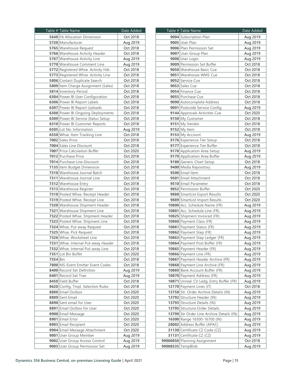|          | Table # Table Name                  | Date Added |  |
|----------|-------------------------------------|------------|--|
|          | <b>5648</b> FA Allocation Dimension | Oct 2018   |  |
|          | 5720 Manufacturer                   | Aug 2019   |  |
|          | 5765 Warehouse Request              | Oct 2018   |  |
|          | 5766 Warehouse Activity Header      | Oct 2018   |  |
|          | 5767 Warehouse Activity Line        | Aug 2019   |  |
|          | 5770 Warehouse Comment Line         | Aug 2019   |  |
|          | 5772 Registered Whse. Activity Hdr. | Oct 2018   |  |
|          | 5773 Registered Whse. Activity Line | Oct 2018   |  |
|          | 5806 Contact Duplicate Search       | Oct 2018   |  |
|          | 5809 Item Charge Assignment (Sales) | Oct 2018   |  |
|          | 5814 Inventory Period               | Oct 2018   |  |
|          | 6304 Power BI User Configuration    | Oct 2018   |  |
|          | 6306 Power BI Report Labels         | Oct 2018   |  |
|          |                                     | Oct 2018   |  |
|          | 6307 Power BI Report Uploads        |            |  |
|          | 6308 Power BI Ongoing Deployments   | Oct 2018   |  |
|          | 6309 Power BI Service Status Setup  | Oct 2018   |  |
|          | 6310 Power BI Customer Reports      | Oct 2018   |  |
|          | 6505 Lot No. Information            | Aug 2019   |  |
|          | 6550 Whse. Item Tracking Line       | Oct 2018   |  |
|          | 7002 Sales Price                    | Oct 2018   |  |
|          | 7004 Sales Line Discount            | Oct 2018   |  |
|          | 7007 Price Calculation Buffer       | Oct 2020   |  |
|          | 7012 Purchase Price                 | Oct 2018   |  |
|          | 7014 Purchase Line Discount         | Oct 2018   |  |
|          | 7135 Item Budget Dimension          | Oct 2018   |  |
|          | 7310 Warehouse Journal Batch        | Oct 2018   |  |
|          | 7311 Warehouse Journal Line         | Oct 2018   |  |
|          | 7312 Warehouse Entry                | Oct 2018   |  |
|          | 7313 Warehouse Register             | Oct 2018   |  |
|          | 7318 Posted Whse. Receipt Header    | Oct 2018   |  |
|          | 7319 Posted Whse. Receipt Line      | Oct 2018   |  |
|          | 7320 Warehouse Shipment Header      | Oct 2018   |  |
|          | 7321 Warehouse Shipment Line        | Oct 2018   |  |
|          | 7322 Posted Whse. Shipment Header   | Oct 2018   |  |
|          | 7323 Posted Whse. Shipment Line     | Oct 2018   |  |
|          | 7324 Whse. Put-away Request         | Oct 2018   |  |
|          | 7325 Whse. Pick Request             | Oct 2018   |  |
|          | 7326 Whse. Worksheet Line           | Oct 2018   |  |
|          | 7331 Whse. Internal Put-away Header | Oct 2018   |  |
|          | 7332 Whse. Internal Put-away Line   | Oct 2018   |  |
|          | 7351 Lot Bin Buffer                 | Oct 2020   |  |
| 7354 Bin |                                     | Oct 2018   |  |
|          | 7800 MS-Event Emitter Event Codes   | Oct 2018   |  |
|          | 8400 Record Set Definition          | Aug 2019   |  |
|          | 8401 Record Set Tree                | Aug 2019   |  |
|          | 8450 Field Buffer                   | Oct 2018   |  |
|          | 8620 Config. Tmpl. Selection Rules  | Oct 2018   |  |
|          | 8888 Email Outbox                   | Oct 2020   |  |
|          | 8889 Sent Email                     | Oct 2020   |  |
|          | 8890 Sent email for User            | Oct 2020   |  |
|          | 8891 Email Outbox for User          | Oct 2020   |  |
|          | 8900 Email Message                  | Oct 2020   |  |
|          | 8901 Email Error                    | Oct 2020   |  |
|          | 8903 Email Recipient                | Oct 2020   |  |
|          | 8904 Email Message Attachment       | Oct 2020   |  |
|          | 9001 User Group Member              | Aug 2019   |  |
|          | 9002 User Group Access Control      | Aug 2019   |  |
|          | 9003 User Group Permission Set      | Aug 2019   |  |
|          |                                     |            |  |

|                   | Table # Table Name                        | Date Added |  |
|-------------------|-------------------------------------------|------------|--|
|                   | 9004 Subscription Plan                    | Aug 2019   |  |
|                   | 9005 User Plan                            | Aug 2019   |  |
|                   | 9006 Plan Permission Set                  | Aug 2019   |  |
|                   | 9007 User Group Plan                      | Aug 2019   |  |
|                   | 9008 User Login                           | Aug 2019   |  |
|                   | 9009 Permission Set Buffer                | Oct 2018   |  |
|                   | 9050 Warehouse Basic Cue                  | Oct 2018   |  |
|                   | 9051 Warehouse WMS Cue                    | Oct 2018   |  |
|                   | 9052 Service Cue                          | Oct 2018   |  |
|                   | 9053 Sales Cue                            | Oct 2018   |  |
|                   |                                           |            |  |
|                   | 9054 Finance Cue<br>9055 Purchase Cue     | Oct 2018   |  |
|                   |                                           | Oct 2018   |  |
|                   | 9090 Autocomplete Address                 | Oct 2018   |  |
|                   | 9091 Postcode Service Config              | Aug 2019   |  |
|                   | 9144 Approvals Activities Cue             | Oct 2020   |  |
|                   | 9150 My Customer                          | Oct 2018   |  |
|                   | 9151 My Vendor                            | Oct 2018   |  |
|                   | 9152 My Item                              | Oct 2018   |  |
|                   | 9153 My Account                           | Aug 2019   |  |
|                   | 9176 Experience Tier Setup                | Oct 2018   |  |
|                   | 9177 Experience Tier Buffer               | Oct 2018   |  |
|                   | 9178 Application Area Setup               | Aug 2019   |  |
|                   | 9179 Application Area Buffer              | Aug 2019   |  |
|                   | 9180 Generic Chart Setup                  | Oct 2018   |  |
|                   | 9400 Media Repository                     | Aug 2019   |  |
|                   | 9500 Email Item                           | Oct 2018   |  |
|                   | 9501 Email Attachment                     | Oct 2018   |  |
|                   | 9510 Email Parameter                      | Oct 2018   |  |
|                   | 9852 Permission Buffer                    | Oct 2020   |  |
|                   | 9888 SmartList Export Results             | Oct 2020   |  |
|                   | 9889 SmartList Import Results             | Oct 2020   |  |
|                   |                                           |            |  |
|                   | 10800 Acc. Schedule Name (FR)             | Aug 2019   |  |
|                   | 10801 Acc. Schedule Line (FR)             | Aug 2019   |  |
|                   | 10825 Shipment Invoiced (FR)              | Aug 2019   |  |
|                   | 10860 Payment Class (FR)                  | Aug 2019   |  |
|                   | 10861 Payment Status (FR)                 | Aug 2019   |  |
|                   | 10862 Payment Step (FR)                   | Aug 2019   |  |
|                   | 10863 Payment Step Ledger (FR)            | Aug 2019   |  |
|                   | 10864 Payment Post Buffer (FR)            | Aug 2019   |  |
|                   | 10865 Payment Header (FR)                 | Aug 2019   |  |
|                   | 10866 Payment Line (FR)                   | Aug 2019   |  |
|                   | 10867 Payment Header Archive (FR)         | Aug 2019   |  |
|                   | 10868 Payment Line Archive (FR)           | Aug 2019   |  |
|                   | 10869 Bank Account Buffer (FR)            | Aug 2019   |  |
|                   | 10870 Payment Address (FR)                | Aug 2019   |  |
|                   | 10871 Unreal. CV Ledg. Entry Buffer (FR)  | Aug 2019   |  |
|                   | 12170 Payment Lines (IT)                  | Oct 2018   |  |
|                   | 13758 Str. Order Archive Details (IN)     | Aug 2019   |  |
|                   | 13792 Structure Header (IN)               | Aug 2019   |  |
|                   | 13793 Structure Details (IN)              | Aug 2019   |  |
|                   | 13795 Structure Order Details             | Aug 2019   |  |
|                   | 13799 Str Order Line Archive Details (IN) | Aug 2019   |  |
|                   | 16300 Range 16300-16700 (IN)              | Aug 2019   |  |
|                   |                                           |            |  |
|                   | 28002 Address Buffer (APAC)               | Aug 2019   |  |
|                   | 31130 Certificate CZ Code (CZ)            | Aug 2019   |  |
|                   | 31131 Certificate CZ (CZ)                 | Aug 2019   |  |
|                   | 99000850 Planning Assignment              | Oct 2018   |  |
| 99008535 TempBlob |                                           | Aug 2019   |  |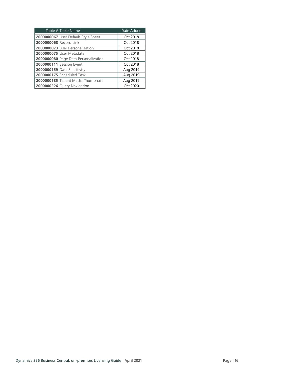| Table # Table Name     |                                      | Date Added |
|------------------------|--------------------------------------|------------|
|                        | 2000000067 User Default Style Sheet  | Oct 2018   |
| 2000000068 Record Link |                                      | Oct 2018   |
|                        | 2000000073 User Personalization      | Oct 2018   |
|                        | 2000000075 User Metadata             | Oct 2018   |
|                        | 2000000080 Page Data Personalization | Oct 2018   |
|                        | 2000000111 Session Event             | Oct 2018   |
|                        | 2000000159 Data Sensitivity          | Aug 2019   |
|                        | 2000000175 Scheduled Task            | Aug 2019   |
|                        | 2000000185 Tenant Media Thumbnails   | Aug 2019   |
|                        | 2000000226 Query Navigation          | Oct 2020   |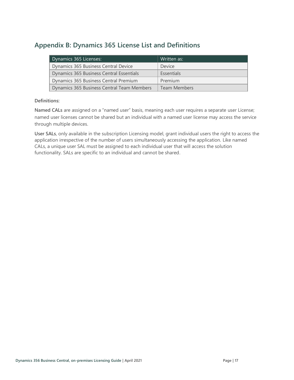# <span id="page-18-0"></span>**Appendix B: Dynamics 365 License List and Definitions**

| Dynamics 365 Licenses:                     | Written as:   |
|--------------------------------------------|---------------|
| Dynamics 365 Business Central Device       | <b>Device</b> |
| Dynamics 365 Business Central Essentials   | Essentials    |
| Dynamics 365 Business Central Premium      | Premium       |
| Dynamics 365 Business Central Team Members | Team Members  |

### **Definitions:**

<span id="page-18-1"></span>**Named CALs** are assigned on a "named user" basis, meaning each user requires a separate user License; named user licenses cannot be shared but an individual with a named user license may access the service through multiple devices.

<span id="page-18-2"></span>**User SALs**, only available in the subscription Licensing model, grant individual users the right to access the application irrespective of the number of users simultaneously accessing the application. Like named CALs, a unique user SAL must be assigned to each individual user that will access the solution functionality. SALs are specific to an individual and cannot be shared.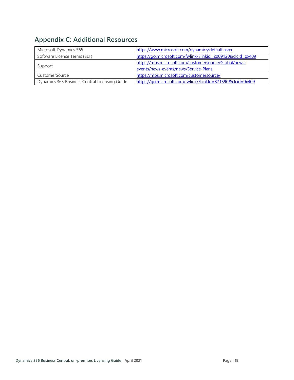# <span id="page-19-0"></span>**Appendix C: Additional Resources**

| Microsoft Dynamics 365                        | https://www.microsoft.com/dynamics/default.aspx             |  |
|-----------------------------------------------|-------------------------------------------------------------|--|
| Software License Terms (SLT)                  | https://go.microsoft.com/fwlink/?linkid=2009120&clcid=0x409 |  |
|                                               | https://mbs.microsoft.com/customersource/Global/news-       |  |
| Support                                       | events/news-events/news/Service-Plans                       |  |
| CustomerSource                                | https://mbs.microsoft.com/customersource/                   |  |
| Dynamics 365 Business Central Licensing Guide | https://go.microsoft.com/fwlink/?LinkId=871590&clcid=0x409  |  |